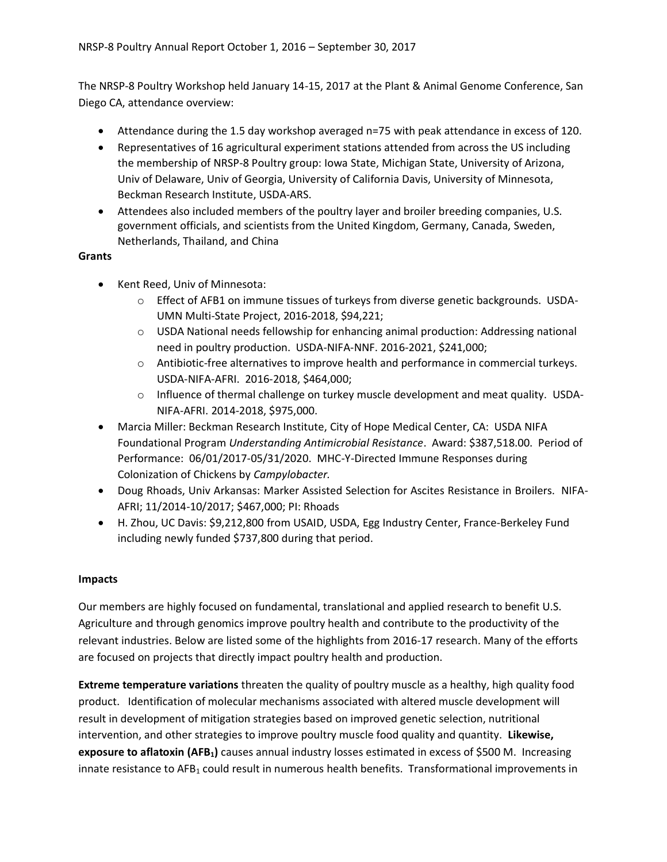The NRSP-8 Poultry Workshop held January 14-15, 2017 at the Plant & Animal Genome Conference, San Diego CA, attendance overview:

- Attendance during the 1.5 day workshop averaged n=75 with peak attendance in excess of 120.
- Representatives of 16 agricultural experiment stations attended from across the US including the membership of NRSP-8 Poultry group: Iowa State, Michigan State, University of Arizona, Univ of Delaware, Univ of Georgia, University of California Davis, University of Minnesota, Beckman Research Institute, USDA-ARS.
- Attendees also included members of the poultry layer and broiler breeding companies, U.S. government officials, and scientists from the United Kingdom, Germany, Canada, Sweden, Netherlands, Thailand, and China

## **Grants**

- Kent Reed, Univ of Minnesota:
	- $\circ$  Effect of AFB1 on immune tissues of turkeys from diverse genetic backgrounds. USDA-UMN Multi-State Project, 2016-2018, \$94,221;
	- $\circ$  USDA National needs fellowship for enhancing animal production: Addressing national need in poultry production. USDA-NIFA-NNF. 2016-2021, \$241,000;
	- o Antibiotic-free alternatives to improve health and performance in commercial turkeys. USDA-NIFA-AFRI. 2016-2018, \$464,000;
	- $\circ$  Influence of thermal challenge on turkey muscle development and meat quality. USDA-NIFA-AFRI. 2014-2018, \$975,000.
- Marcia Miller: Beckman Research Institute, City of Hope Medical Center, CA: USDA NIFA Foundational Program *Understanding Antimicrobial Resistance*. Award: \$387,518.00. Period of Performance: 06/01/2017-05/31/2020. MHC-Y-Directed Immune Responses during Colonization of Chickens by *Campylobacter.*
- Doug Rhoads, Univ Arkansas: Marker Assisted Selection for Ascites Resistance in Broilers. NIFA-AFRI; 11/2014-10/2017; \$467,000; PI: Rhoads
- H. Zhou, UC Davis: \$9,212,800 from USAID, USDA, Egg Industry Center, France-Berkeley Fund including newly funded \$737,800 during that period.

## **Impacts**

Our members are highly focused on fundamental, translational and applied research to benefit U.S. Agriculture and through genomics improve poultry health and contribute to the productivity of the relevant industries. Below are listed some of the highlights from 2016-17 research. Many of the efforts are focused on projects that directly impact poultry health and production.

**Extreme temperature variations** threaten the quality of poultry muscle as a healthy, high quality food product. Identification of molecular mechanisms associated with altered muscle development will result in development of mitigation strategies based on improved genetic selection, nutritional intervention, and other strategies to improve poultry muscle food quality and quantity. **Likewise, exposure to aflatoxin (AFB1)** causes annual industry losses estimated in excess of \$500 M. Increasing innate resistance to AFB<sub>1</sub> could result in numerous health benefits. Transformational improvements in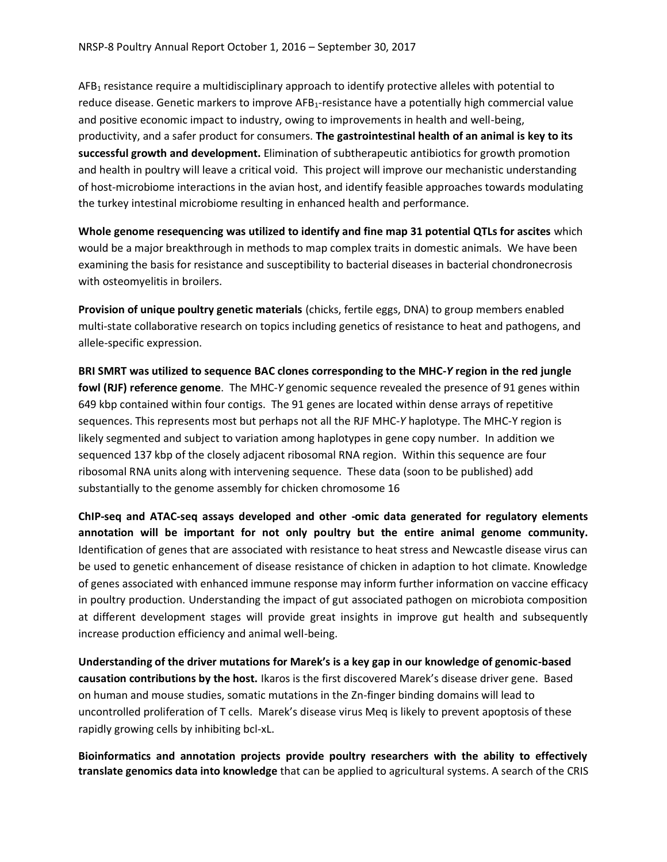AFB<sub>1</sub> resistance require a multidisciplinary approach to identify protective alleles with potential to reduce disease. Genetic markers to improve AFB<sub>1</sub>-resistance have a potentially high commercial value and positive economic impact to industry, owing to improvements in health and well-being, productivity, and a safer product for consumers. **The gastrointestinal health of an animal is key to its successful growth and development.** Elimination of subtherapeutic antibiotics for growth promotion and health in poultry will leave a critical void. This project will improve our mechanistic understanding of host-microbiome interactions in the avian host, and identify feasible approaches towards modulating the turkey intestinal microbiome resulting in enhanced health and performance.

**Whole genome resequencing was utilized to identify and fine map 31 potential QTLs for ascites** which would be a major breakthrough in methods to map complex traits in domestic animals. We have been examining the basis for resistance and susceptibility to bacterial diseases in bacterial chondronecrosis with osteomyelitis in broilers.

**Provision of unique poultry genetic materials** (chicks, fertile eggs, DNA) to group members enabled multi-state collaborative research on topics including genetics of resistance to heat and pathogens, and allele-specific expression.

**BRI SMRT was utilized to sequence BAC clones corresponding to the MHC-***Y* **region in the red jungle fowl (RJF) reference genome**. The MHC-*Y* genomic sequence revealed the presence of 91 genes within 649 kbp contained within four contigs. The 91 genes are located within dense arrays of repetitive sequences. This represents most but perhaps not all the RJF MHC-*Y* haplotype. The MHC-Y region is likely segmented and subject to variation among haplotypes in gene copy number. In addition we sequenced 137 kbp of the closely adjacent ribosomal RNA region. Within this sequence are four ribosomal RNA units along with intervening sequence. These data (soon to be published) add substantially to the genome assembly for chicken chromosome 16

**ChIP-seq and ATAC-seq assays developed and other -omic data generated for regulatory elements annotation will be important for not only poultry but the entire animal genome community.**  Identification of genes that are associated with resistance to heat stress and Newcastle disease virus can be used to genetic enhancement of disease resistance of chicken in adaption to hot climate. Knowledge of genes associated with enhanced immune response may inform further information on vaccine efficacy in poultry production. Understanding the impact of gut associated pathogen on microbiota composition at different development stages will provide great insights in improve gut health and subsequently increase production efficiency and animal well-being.

**Understanding of the driver mutations for Marek's is a key gap in our knowledge of genomic-based causation contributions by the host.** Ikaros is the first discovered Marek's disease driver gene. Based on human and mouse studies, somatic mutations in the Zn-finger binding domains will lead to uncontrolled proliferation of T cells. Marek's disease virus Meq is likely to prevent apoptosis of these rapidly growing cells by inhibiting bcl-xL.

**Bioinformatics and annotation projects provide poultry researchers with the ability to effectively translate genomics data into knowledge** that can be applied to agricultural systems. A search of the CRIS